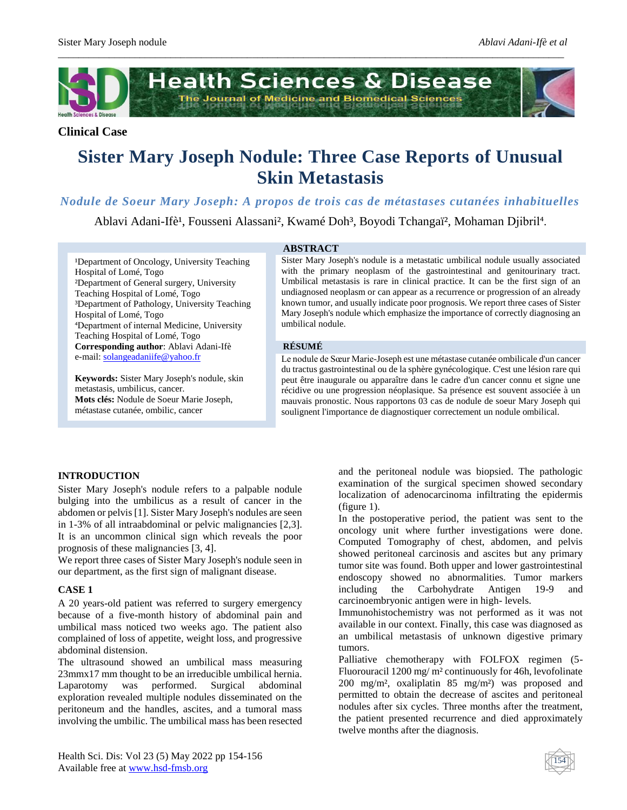

*\_\_\_\_\_\_\_\_\_\_\_\_\_\_\_\_\_\_\_\_\_\_\_\_\_\_\_\_\_\_\_\_\_\_\_\_\_\_\_\_\_\_\_\_\_\_\_\_\_\_\_\_\_\_\_\_\_\_\_\_\_\_\_\_\_\_\_\_\_\_\_\_\_\_\_\_\_\_\_\_\_\_\_\_\_\_\_\_\_\_\_\_\_\_\_\_\_\_\_*

## **Clinical Case**

# **Sister Mary Joseph Nodule: Three Case Reports of Unusual Skin Metastasis**

*Nodule de Soeur Mary Joseph: A propos de trois cas de métastases cutanées inhabituelles*

Ablavi Adani-Ifè<sup>1</sup>, Fousseni Alassani<sup>2</sup>, Kwamé Doh<sup>3</sup>, Boyodi Tchangaï<sup>2</sup>, Mohaman Djibril<sup>4</sup>.

#### **ABSTRACT**

<sup>1</sup>Department of Oncology, University Teaching Hospital of Lomé, Togo ²Department of General surgery, University Teaching Hospital of Lomé, Togo ³Department of Pathology, University Teaching Hospital of Lomé, Togo ⁴Department of internal Medicine, University Teaching Hospital of Lomé, Togo **Corresponding author**: Ablavi Adani-Ifè e-mail: [solangeadaniife@yahoo.fr](mailto:solangeadaniife@yahoo.fr)

**Keywords:** Sister Mary Joseph's nodule, skin metastasis, umbilicus, cancer. **Mots clés:** Nodule de Soeur Marie Joseph, métastase cutanée, ombilic, cancer

Sister Mary Joseph's nodule is a metastatic umbilical nodule usually associated with the primary neoplasm of the gastrointestinal and genitourinary tract. Umbilical metastasis is rare in clinical practice. It can be the first sign of an undiagnosed neoplasm or can appear as a recurrence or progression of an already known tumor, and usually indicate poor prognosis. We report three cases of Sister Mary Joseph's nodule which emphasize the importance of correctly diagnosing an umbilical nodule.

#### **RÉSUMÉ**

Le nodule de Sœur Marie-Joseph est une métastase cutanée ombilicale d'un cancer du tractus gastrointestinal ou de la sphère gynécologique. C'est une lésion rare qui peut être inaugurale ou apparaître dans le cadre d'un cancer connu et signe une récidive ou une progression néoplasique. Sa présence est souvent associée à un mauvais pronostic. Nous rapportons 03 cas de nodule de soeur Mary Joseph qui soulignent l'importance de diagnostiquer correctement un nodule ombilical.

## **INTRODUCTION**

Sister Mary Joseph's nodule refers to a palpable nodule bulging into the umbilicus as a result of cancer in the abdomen or pelvis [1]. Sister Mary Joseph's nodules are seen in 1-3% of all intraabdominal or pelvic malignancies [2,3]. It is an uncommon clinical sign which reveals the poor prognosis of these malignancies [3, 4].

We report three cases of Sister Mary Joseph's nodule seen in our department, as the first sign of malignant disease.

## **CASE 1**

A 20 years-old patient was referred to surgery emergency because of a five-month history of abdominal pain and umbilical mass noticed two weeks ago. The patient also complained of loss of appetite, weight loss, and progressive abdominal distension.

The ultrasound showed an umbilical mass measuring 23mmx17 mm thought to be an irreducible umbilical hernia. Laparotomy was performed. Surgical abdominal exploration revealed multiple nodules disseminated on the peritoneum and the handles, ascites, and a tumoral mass involving the umbilic. The umbilical mass has been resected and the peritoneal nodule was biopsied. The pathologic examination of the surgical specimen showed secondary localization of adenocarcinoma infiltrating the epidermis (figure 1).

In the postoperative period, the patient was sent to the oncology unit where further investigations were done. Computed Tomography of chest, abdomen, and pelvis showed peritoneal carcinosis and ascites but any primary tumor site was found. Both upper and lower gastrointestinal endoscopy showed no abnormalities. Tumor markers including the Carbohydrate Antigen 19-9 and carcinoembryonic antigen were in high- levels.

Immunohistochemistry was not performed as it was not available in our context. Finally, this case was diagnosed as an umbilical metastasis of unknown digestive primary tumors.

Palliative chemotherapy with FOLFOX regimen (5- Fluorouracil 1200 mg/ m² continuously for 46h, levofolinate 200 mg/m², oxaliplatin 85 mg/m²) was proposed and permitted to obtain the decrease of ascites and peritoneal nodules after six cycles. Three months after the treatment, the patient presented recurrence and died approximately twelve months after the diagnosis.

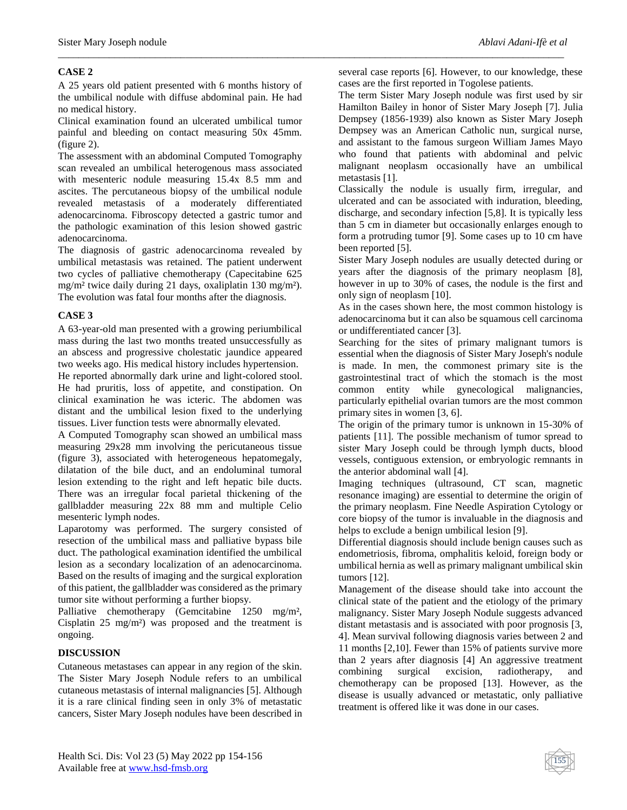## **CASE 2**

A 25 years old patient presented with 6 months history of the umbilical nodule with diffuse abdominal pain. He had no medical history.

*\_\_\_\_\_\_\_\_\_\_\_\_\_\_\_\_\_\_\_\_\_\_\_\_\_\_\_\_\_\_\_\_\_\_\_\_\_\_\_\_\_\_\_\_\_\_\_\_\_\_\_\_\_\_\_\_\_\_\_\_\_\_\_\_\_\_\_\_\_\_\_\_\_\_\_\_\_\_\_\_\_\_\_\_\_\_\_\_\_\_\_\_\_\_\_\_\_\_\_*

Clinical examination found an ulcerated umbilical tumor painful and bleeding on contact measuring 50x 45mm. (figure 2).

The assessment with an abdominal Computed Tomography scan revealed an umbilical heterogenous mass associated with mesenteric nodule measuring 15.4x 8.5 mm and ascites. The percutaneous biopsy of the umbilical nodule revealed metastasis of a moderately differentiated adenocarcinoma. Fibroscopy detected a gastric tumor and the pathologic examination of this lesion showed gastric adenocarcinoma.

The diagnosis of gastric adenocarcinoma revealed by umbilical metastasis was retained. The patient underwent two cycles of palliative chemotherapy (Capecitabine 625 mg/m² twice daily during 21 days, oxaliplatin 130 mg/m²). The evolution was fatal four months after the diagnosis.

## **CASE 3**

A 63-year-old man presented with a growing periumbilical mass during the last two months treated unsuccessfully as an abscess and progressive cholestatic jaundice appeared two weeks ago. His medical history includes hypertension.

He reported abnormally dark urine and light-colored stool. He had pruritis, loss of appetite, and constipation. On clinical examination he was icteric. The abdomen was distant and the umbilical lesion fixed to the underlying tissues. Liver function tests were abnormally elevated.

A Computed Tomography scan showed an umbilical mass measuring 29x28 mm involving the pericutaneous tissue (figure 3), associated with heterogeneous hepatomegaly, dilatation of the bile duct, and an endoluminal tumoral lesion extending to the right and left hepatic bile ducts. There was an irregular focal parietal thickening of the gallbladder measuring 22x 88 mm and multiple Celio mesenteric lymph nodes.

Laparotomy was performed. The surgery consisted of resection of the umbilical mass and palliative bypass bile duct. The pathological examination identified the umbilical lesion as a secondary localization of an adenocarcinoma. Based on the results of imaging and the surgical exploration of this patient, the gallbladder was considered as the primary tumor site without performing a further biopsy.

Palliative chemotherapy (Gemcitabine 1250 mg/m², Cisplatin 25 mg/m²) was proposed and the treatment is ongoing.

## **DISCUSSION**

Cutaneous metastases can appear in any region of the skin. The Sister Mary Joseph Nodule refers to an umbilical cutaneous metastasis of internal malignancies [5]. Although it is a rare clinical finding seen in only 3% of metastatic cancers, Sister Mary Joseph nodules have been described in several case reports [6]. However, to our knowledge, these cases are the first reported in Togolese patients.

The term Sister Mary Joseph nodule was first used by sir Hamilton Bailey in honor of Sister Mary Joseph [7]. Julia Dempsey (1856-1939) also known as Sister Mary Joseph Dempsey was an American Catholic nun, surgical nurse, and assistant to the famous surgeon William James Mayo who found that patients with abdominal and pelvic malignant neoplasm occasionally have an umbilical metastasis [1].

Classically the nodule is usually firm, irregular, and ulcerated and can be associated with induration, bleeding, discharge, and secondary infection [5,8]. It is typically less than 5 cm in diameter but occasionally enlarges enough to form a protruding tumor [9]. Some cases up to 10 cm have been reported [5].

Sister Mary Joseph nodules are usually detected during or years after the diagnosis of the primary neoplasm [8], however in up to 30% of cases, the nodule is the first and only sign of neoplasm [10].

As in the cases shown here, the most common histology is adenocarcinoma but it can also be squamous cell carcinoma or undifferentiated cancer [3].

Searching for the sites of primary malignant tumors is essential when the diagnosis of Sister Mary Joseph's nodule is made. In men, the commonest primary site is the gastrointestinal tract of which the stomach is the most common entity while gynecological malignancies, particularly epithelial ovarian tumors are the most common primary sites in women [3, 6].

The origin of the primary tumor is unknown in 15-30% of patients [11]. The possible mechanism of tumor spread to sister Mary Joseph could be through lymph ducts, blood vessels, contiguous extension, or embryologic remnants in the anterior abdominal wall [4].

Imaging techniques (ultrasound, CT scan, magnetic resonance imaging) are essential to determine the origin of the primary neoplasm. Fine Needle Aspiration Cytology or core biopsy of the tumor is invaluable in the diagnosis and helps to exclude a benign umbilical lesion [9].

Differential diagnosis should include benign causes such as endometriosis, fibroma, omphalitis keloid, foreign body or umbilical hernia as well as primary malignant umbilical skin tumors [12].

Management of the disease should take into account the clinical state of the patient and the etiology of the primary malignancy. Sister Mary Joseph Nodule suggests advanced distant metastasis and is associated with poor prognosis [3, 4]. Mean survival following diagnosis varies between 2 and 11 months [2,10]. Fewer than 15% of patients survive more than 2 years after diagnosis [4] An aggressive treatment combining surgical excision, radiotherapy, and chemotherapy can be proposed [13]. However, as the disease is usually advanced or metastatic, only palliative treatment is offered like it was done in our cases.